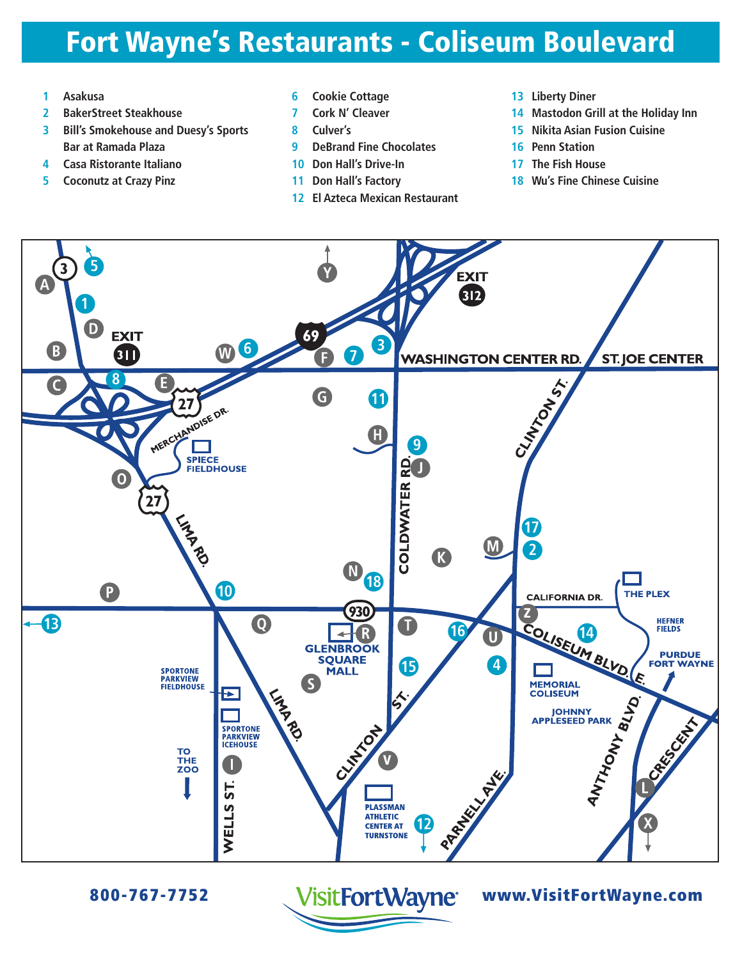# Fort Wayne's Restaurants - Coliseum Boulevard

- **Asakusa**
- **BakerStreet Steakhouse**
- **Bill's Smokehouse and Duesy's Sports Bar at Ramada Plaza**
- **Casa Ristorante Italiano**
- **Coconutz at Crazy Pinz**
- **Cookie Cottage**
- **Cork N' Cleaver**
- **Culver's**
- **DeBrand Fine Chocolates**
- **Don Hall's Drive-In**
- **Don Hall's Factory**
- **El Azteca Mexican Restaurant**
- **Liberty Diner**
- **Mastodon Grill at the Holiday Inn**
- **Nikita Asian Fusion Cuisine**
- **Penn Station**
- **The Fish House**
- **Wu's Fine Chinese Cuisine**



800-767-7752 www.VisitFortWayne.com